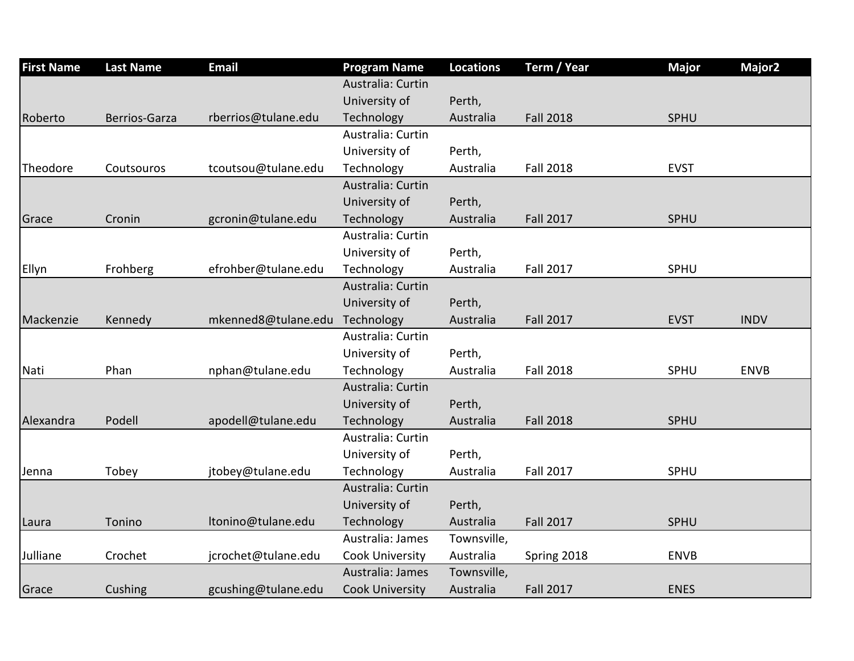| <b>First Name</b> | <b>Last Name</b> | <b>Email</b>        | <b>Program Name</b>    | <b>Locations</b> | Term / Year      | <b>Major</b> | Major <sub>2</sub> |
|-------------------|------------------|---------------------|------------------------|------------------|------------------|--------------|--------------------|
|                   |                  |                     | Australia: Curtin      |                  |                  |              |                    |
|                   |                  |                     | University of          | Perth,           |                  |              |                    |
| Roberto           | Berrios-Garza    | rberrios@tulane.edu | Technology             | Australia        | <b>Fall 2018</b> | SPHU         |                    |
|                   |                  |                     | Australia: Curtin      |                  |                  |              |                    |
|                   |                  |                     | University of          | Perth,           |                  |              |                    |
| Theodore          | Coutsouros       | tcoutsou@tulane.edu | Technology             | Australia        | <b>Fall 2018</b> | <b>EVST</b>  |                    |
|                   |                  |                     | Australia: Curtin      |                  |                  |              |                    |
|                   |                  |                     | University of          | Perth,           |                  |              |                    |
| Grace             | Cronin           | gcronin@tulane.edu  | Technology             | Australia        | <b>Fall 2017</b> | <b>SPHU</b>  |                    |
|                   |                  |                     | Australia: Curtin      |                  |                  |              |                    |
|                   |                  |                     | University of          | Perth,           |                  |              |                    |
| Ellyn             | Frohberg         | efrohber@tulane.edu | Technology             | Australia        | <b>Fall 2017</b> | SPHU         |                    |
|                   |                  |                     | Australia: Curtin      |                  |                  |              |                    |
|                   |                  |                     | University of          | Perth,           |                  |              |                    |
| Mackenzie         | Kennedy          | mkenned8@tulane.edu | Technology             | Australia        | <b>Fall 2017</b> | <b>EVST</b>  | <b>INDV</b>        |
|                   |                  |                     | Australia: Curtin      |                  |                  |              |                    |
|                   |                  |                     | University of          | Perth,           |                  |              |                    |
| Nati              | Phan             | nphan@tulane.edu    | Technology             | Australia        | <b>Fall 2018</b> | SPHU         | <b>ENVB</b>        |
|                   |                  |                     | Australia: Curtin      |                  |                  |              |                    |
|                   |                  |                     | University of          | Perth,           |                  |              |                    |
| Alexandra         | Podell           | apodell@tulane.edu  | Technology             | Australia        | <b>Fall 2018</b> | SPHU         |                    |
|                   |                  |                     | Australia: Curtin      |                  |                  |              |                    |
|                   |                  |                     | University of          | Perth,           |                  |              |                    |
| Jenna             | Tobey            | jtobey@tulane.edu   | Technology             | Australia        | <b>Fall 2017</b> | SPHU         |                    |
|                   |                  |                     | Australia: Curtin      |                  |                  |              |                    |
|                   |                  |                     | University of          | Perth,           |                  |              |                    |
| Laura             | Tonino           | Itonino@tulane.edu  | Technology             | Australia        | <b>Fall 2017</b> | <b>SPHU</b>  |                    |
|                   |                  |                     | Australia: James       | Townsville,      |                  |              |                    |
| Julliane          | Crochet          | jcrochet@tulane.edu | Cook University        | Australia        | Spring 2018      | <b>ENVB</b>  |                    |
|                   |                  |                     | Australia: James       | Townsville,      |                  |              |                    |
| Grace             | Cushing          | gcushing@tulane.edu | <b>Cook University</b> | Australia        | <b>Fall 2017</b> | <b>ENES</b>  |                    |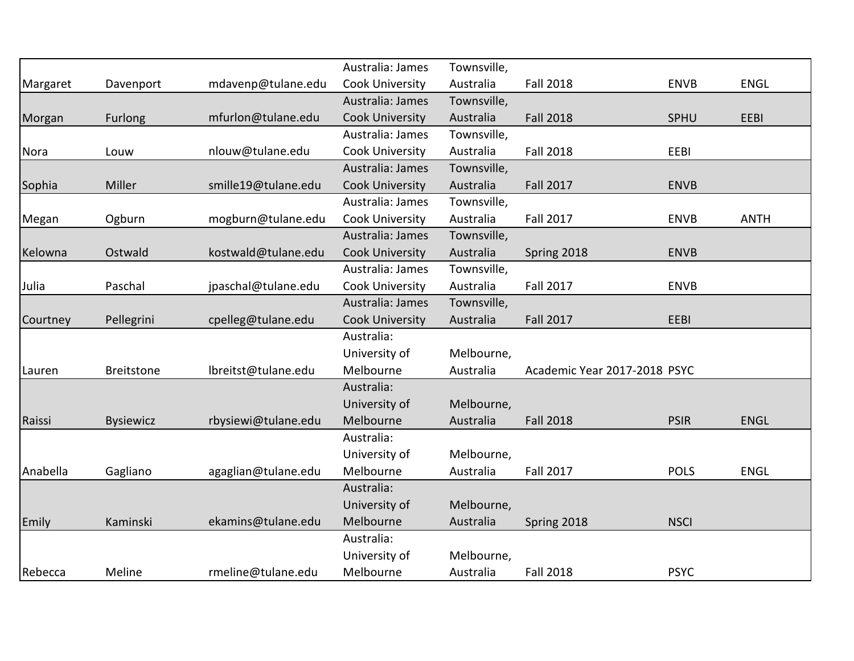|          |                   |                     | Australia: James       | Townsville, |                              |             |             |
|----------|-------------------|---------------------|------------------------|-------------|------------------------------|-------------|-------------|
| Margaret | Davenport         | mdavenp@tulane.edu  | Cook University        | Australia   | <b>Fall 2018</b>             | <b>ENVB</b> | <b>ENGL</b> |
|          |                   |                     | Australia: James       | Townsville, |                              |             |             |
| Morgan   | <b>Furlong</b>    | mfurlon@tulane.edu  | <b>Cook University</b> | Australia   | <b>Fall 2018</b>             | SPHU        | EEBI        |
|          |                   |                     | Australia: James       | Townsville, |                              |             |             |
| Nora     | Louw              | nlouw@tulane.edu    | Cook University        | Australia   | <b>Fall 2018</b>             | EEBI        |             |
|          |                   |                     | Australia: James       | Townsville, |                              |             |             |
| Sophia   | Miller            | smille19@tulane.edu | <b>Cook University</b> | Australia   | <b>Fall 2017</b>             | <b>ENVB</b> |             |
|          |                   |                     | Australia: James       | Townsville, |                              |             |             |
| Megan    | Ogburn            | mogburn@tulane.edu  | Cook University        | Australia   | <b>Fall 2017</b>             | <b>ENVB</b> | <b>ANTH</b> |
|          |                   |                     | Australia: James       | Townsville, |                              |             |             |
| Kelowna  | Ostwald           | kostwald@tulane.edu | <b>Cook University</b> | Australia   | Spring 2018                  | <b>ENVB</b> |             |
|          |                   |                     | Australia: James       | Townsville, |                              |             |             |
| Julia    | Paschal           | jpaschal@tulane.edu | Cook University        | Australia   | <b>Fall 2017</b>             | <b>ENVB</b> |             |
|          |                   |                     | Australia: James       | Townsville, |                              |             |             |
| Courtney | Pellegrini        | cpelleg@tulane.edu  | <b>Cook University</b> | Australia   | <b>Fall 2017</b>             | EEBI        |             |
|          |                   |                     | Australia:             |             |                              |             |             |
|          |                   |                     | University of          | Melbourne,  |                              |             |             |
| Lauren   | <b>Breitstone</b> | lbreitst@tulane.edu | Melbourne              | Australia   | Academic Year 2017-2018 PSYC |             |             |
|          |                   |                     | Australia:             |             |                              |             |             |
|          |                   |                     | University of          | Melbourne,  |                              |             |             |
| Raissi   | <b>Bysiewicz</b>  | rbysiewi@tulane.edu | Melbourne              | Australia   | <b>Fall 2018</b>             | <b>PSIR</b> | <b>ENGL</b> |
|          |                   |                     | Australia:             |             |                              |             |             |
|          |                   |                     | University of          | Melbourne,  |                              |             |             |
| Anabella | Gagliano          | agaglian@tulane.edu | Melbourne              | Australia   | <b>Fall 2017</b>             | <b>POLS</b> | <b>ENGL</b> |
|          |                   |                     | Australia:             |             |                              |             |             |
|          |                   |                     | University of          | Melbourne,  |                              |             |             |
| Emily    | Kaminski          | ekamins@tulane.edu  | Melbourne              | Australia   | Spring 2018                  | <b>NSCI</b> |             |
|          |                   |                     | Australia:             |             |                              |             |             |
|          |                   |                     | University of          | Melbourne,  |                              |             |             |
| Rebecca  | Meline            | rmeline@tulane.edu  | Melbourne              | Australia   | <b>Fall 2018</b>             | <b>PSYC</b> |             |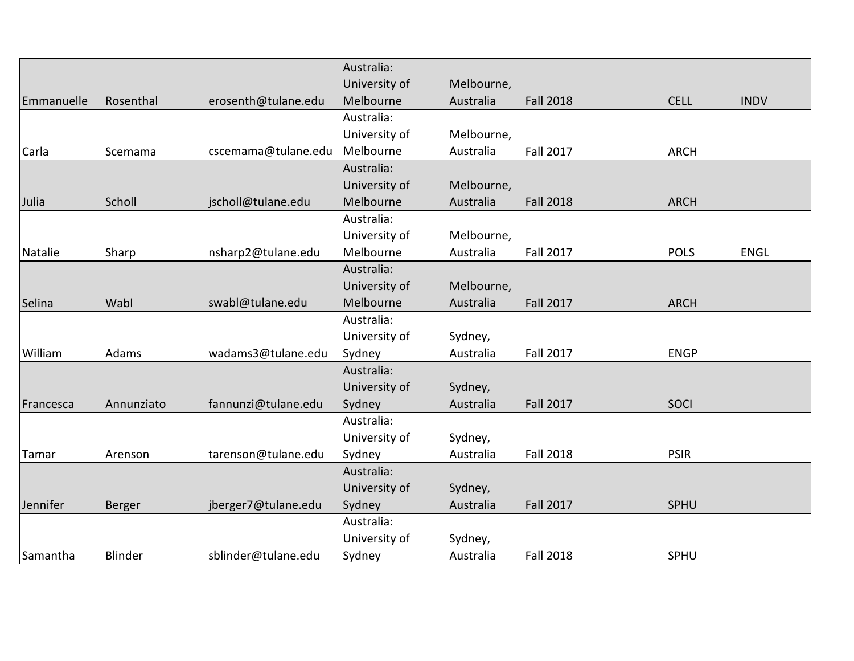|            |            |                     | Australia:    |            |                  |             |             |
|------------|------------|---------------------|---------------|------------|------------------|-------------|-------------|
|            |            |                     | University of | Melbourne, |                  |             |             |
| Emmanuelle | Rosenthal  | erosenth@tulane.edu | Melbourne     | Australia  | <b>Fall 2018</b> | <b>CELL</b> | <b>INDV</b> |
|            |            |                     | Australia:    |            |                  |             |             |
|            |            |                     | University of | Melbourne, |                  |             |             |
| Carla      | Scemama    | cscemama@tulane.edu | Melbourne     | Australia  | <b>Fall 2017</b> | <b>ARCH</b> |             |
|            |            |                     | Australia:    |            |                  |             |             |
|            |            |                     | University of | Melbourne, |                  |             |             |
| Julia      | Scholl     | jscholl@tulane.edu  | Melbourne     | Australia  | <b>Fall 2018</b> | <b>ARCH</b> |             |
|            |            |                     | Australia:    |            |                  |             |             |
|            |            |                     | University of | Melbourne, |                  |             |             |
| Natalie    | Sharp      | nsharp2@tulane.edu  | Melbourne     | Australia  | <b>Fall 2017</b> | <b>POLS</b> | <b>ENGL</b> |
|            |            |                     | Australia:    |            |                  |             |             |
|            |            |                     | University of | Melbourne, |                  |             |             |
| Selina     | Wabl       | swabl@tulane.edu    | Melbourne     | Australia  | <b>Fall 2017</b> | <b>ARCH</b> |             |
|            |            |                     | Australia:    |            |                  |             |             |
|            |            |                     | University of | Sydney,    |                  |             |             |
| William    | Adams      | wadams3@tulane.edu  | Sydney        | Australia  | <b>Fall 2017</b> | <b>ENGP</b> |             |
|            |            |                     | Australia:    |            |                  |             |             |
|            |            |                     | University of | Sydney,    |                  |             |             |
| Francesca  | Annunziato | fannunzi@tulane.edu | Sydney        | Australia  | <b>Fall 2017</b> | SOCI        |             |
|            |            |                     | Australia:    |            |                  |             |             |
|            |            |                     | University of | Sydney,    |                  |             |             |
| Tamar      | Arenson    | tarenson@tulane.edu | Sydney        | Australia  | <b>Fall 2018</b> | <b>PSIR</b> |             |
|            |            |                     | Australia:    |            |                  |             |             |
|            |            |                     | University of | Sydney,    |                  |             |             |
| Jennifer   | Berger     | jberger7@tulane.edu | Sydney        | Australia  | <b>Fall 2017</b> | SPHU        |             |
|            |            |                     | Australia:    |            |                  |             |             |
|            |            |                     | University of | Sydney,    |                  |             |             |
| Samantha   | Blinder    | sblinder@tulane.edu | Sydney        | Australia  | <b>Fall 2018</b> | SPHU        |             |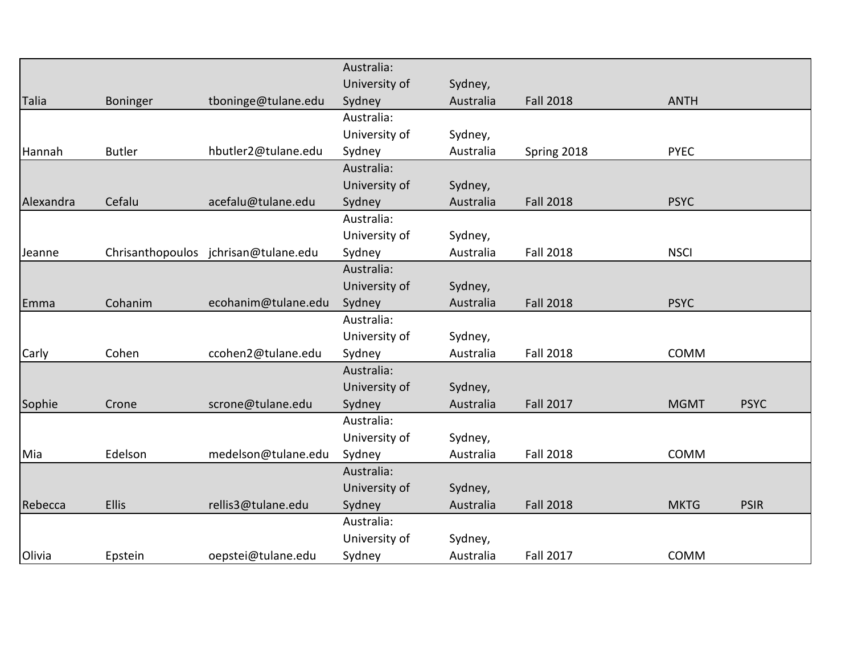|           |               |                                      | Australia:    |           |                  |             |             |
|-----------|---------------|--------------------------------------|---------------|-----------|------------------|-------------|-------------|
|           |               |                                      | University of | Sydney,   |                  |             |             |
| Talia     | Boninger      | tboninge@tulane.edu                  | Sydney        | Australia | <b>Fall 2018</b> | <b>ANTH</b> |             |
|           |               |                                      | Australia:    |           |                  |             |             |
|           |               |                                      | University of | Sydney,   |                  |             |             |
| Hannah    | <b>Butler</b> | hbutler2@tulane.edu                  | Sydney        | Australia | Spring 2018      | <b>PYEC</b> |             |
|           |               |                                      | Australia:    |           |                  |             |             |
|           |               |                                      | University of | Sydney,   |                  |             |             |
| Alexandra | Cefalu        | acefalu@tulane.edu                   | Sydney        | Australia | <b>Fall 2018</b> | <b>PSYC</b> |             |
|           |               |                                      | Australia:    |           |                  |             |             |
|           |               |                                      | University of | Sydney,   |                  |             |             |
| Jeanne    |               | Chrisanthopoulos jchrisan@tulane.edu | Sydney        | Australia | <b>Fall 2018</b> | <b>NSCI</b> |             |
|           |               |                                      | Australia:    |           |                  |             |             |
|           |               |                                      | University of | Sydney,   |                  |             |             |
| Emma      | Cohanim       | ecohanim@tulane.edu                  | Sydney        | Australia | <b>Fall 2018</b> | <b>PSYC</b> |             |
|           |               |                                      | Australia:    |           |                  |             |             |
|           |               |                                      | University of | Sydney,   |                  |             |             |
| Carly     | Cohen         | ccohen2@tulane.edu                   | Sydney        | Australia | <b>Fall 2018</b> | <b>COMM</b> |             |
|           |               |                                      | Australia:    |           |                  |             |             |
|           |               |                                      | University of | Sydney,   |                  |             |             |
| Sophie    | Crone         | scrone@tulane.edu                    | Sydney        | Australia | <b>Fall 2017</b> | <b>MGMT</b> | <b>PSYC</b> |
|           |               |                                      | Australia:    |           |                  |             |             |
|           |               |                                      | University of | Sydney,   |                  |             |             |
| Mia       | Edelson       | medelson@tulane.edu                  | Sydney        | Australia | <b>Fall 2018</b> | <b>COMM</b> |             |
|           |               |                                      | Australia:    |           |                  |             |             |
|           |               |                                      | University of | Sydney,   |                  |             |             |
| Rebecca   | <b>Ellis</b>  | rellis3@tulane.edu                   | Sydney        | Australia | <b>Fall 2018</b> | <b>MKTG</b> | <b>PSIR</b> |
|           |               |                                      | Australia:    |           |                  |             |             |
|           |               |                                      | University of | Sydney,   |                  |             |             |
| Olivia    | Epstein       | oepstei@tulane.edu                   | Sydney        | Australia | <b>Fall 2017</b> | COMM        |             |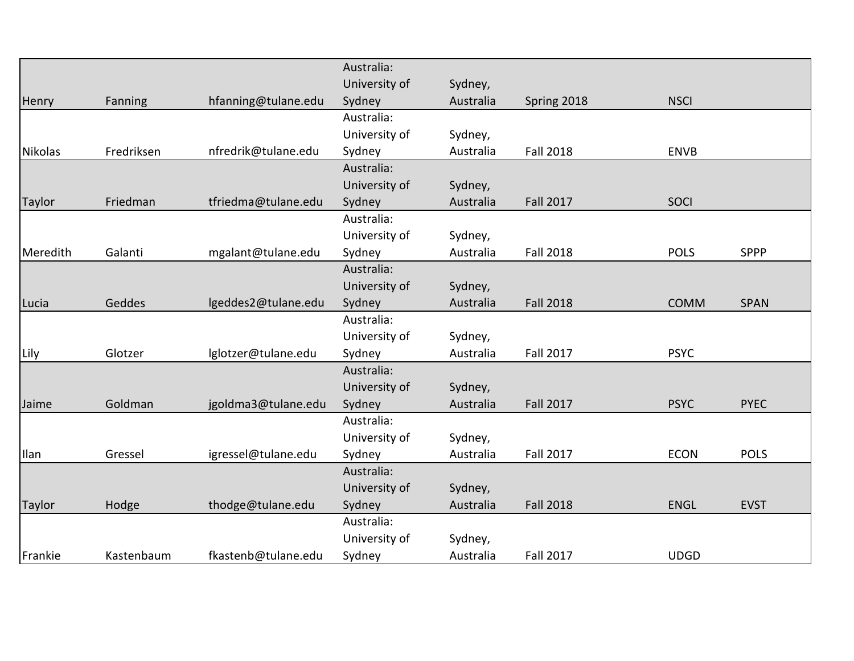|                |            |                     | Australia:    |           |                  |             |             |
|----------------|------------|---------------------|---------------|-----------|------------------|-------------|-------------|
|                |            |                     | University of | Sydney,   |                  |             |             |
| Henry          | Fanning    | hfanning@tulane.edu | Sydney        | Australia | Spring 2018      | <b>NSCI</b> |             |
|                |            |                     | Australia:    |           |                  |             |             |
|                |            |                     | University of | Sydney,   |                  |             |             |
| <b>Nikolas</b> | Fredriksen | nfredrik@tulane.edu | Sydney        | Australia | <b>Fall 2018</b> | <b>ENVB</b> |             |
|                |            |                     | Australia:    |           |                  |             |             |
|                |            |                     | University of | Sydney,   |                  |             |             |
| <b>Taylor</b>  | Friedman   | tfriedma@tulane.edu | Sydney        | Australia | <b>Fall 2017</b> | SOCI        |             |
|                |            |                     | Australia:    |           |                  |             |             |
|                |            |                     | University of | Sydney,   |                  |             |             |
| Meredith       | Galanti    | mgalant@tulane.edu  | Sydney        | Australia | <b>Fall 2018</b> | <b>POLS</b> | <b>SPPP</b> |
|                |            |                     | Australia:    |           |                  |             |             |
|                |            |                     | University of | Sydney,   |                  |             |             |
| Lucia          | Geddes     | lgeddes2@tulane.edu | Sydney        | Australia | <b>Fall 2018</b> | <b>COMM</b> | <b>SPAN</b> |
|                |            |                     | Australia:    |           |                  |             |             |
|                |            |                     | University of | Sydney,   |                  |             |             |
| Lily           | Glotzer    | lglotzer@tulane.edu | Sydney        | Australia | <b>Fall 2017</b> | <b>PSYC</b> |             |
|                |            |                     | Australia:    |           |                  |             |             |
|                |            |                     | University of | Sydney,   |                  |             |             |
| Jaime          | Goldman    | jgoldma3@tulane.edu | Sydney        | Australia | <b>Fall 2017</b> | <b>PSYC</b> | <b>PYEC</b> |
|                |            |                     | Australia:    |           |                  |             |             |
|                |            |                     | University of | Sydney,   |                  |             |             |
| <b>Ilan</b>    | Gressel    | igressel@tulane.edu | Sydney        | Australia | <b>Fall 2017</b> | <b>ECON</b> | <b>POLS</b> |
|                |            |                     | Australia:    |           |                  |             |             |
|                |            |                     | University of | Sydney,   |                  |             |             |
| <b>Taylor</b>  | Hodge      | thodge@tulane.edu   | Sydney        | Australia | <b>Fall 2018</b> | <b>ENGL</b> | <b>EVST</b> |
|                |            |                     | Australia:    |           |                  |             |             |
|                |            |                     | University of | Sydney,   |                  |             |             |
| Frankie        | Kastenbaum | fkastenb@tulane.edu | Sydney        | Australia | <b>Fall 2017</b> | <b>UDGD</b> |             |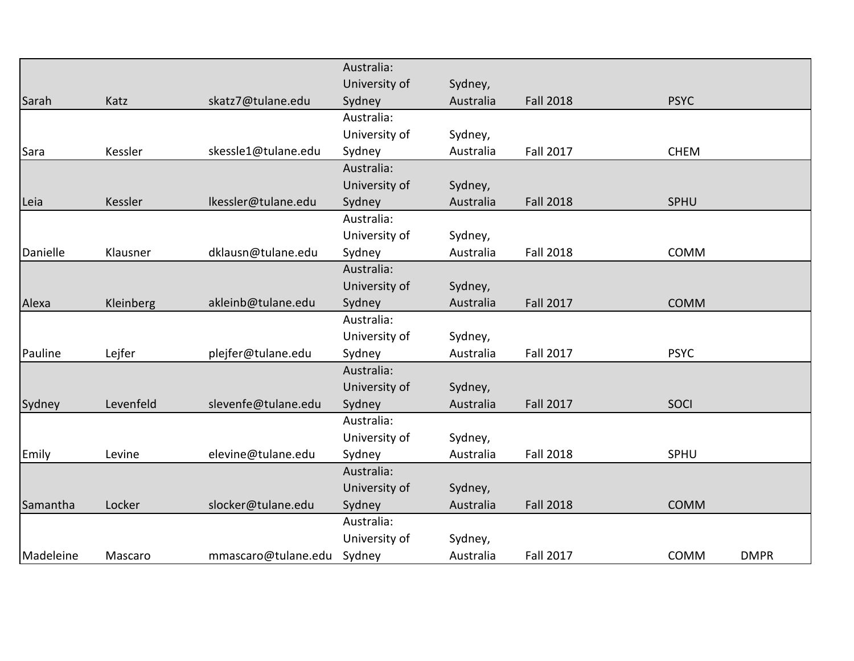| Australia:<br>University of<br>Sydney,<br><b>Fall 2018</b><br>Katz<br>skatz7@tulane.edu<br>Australia<br><b>PSYC</b><br>Sydney<br>Australia:<br>University of<br>Sydney,<br>Kessler<br>skessle1@tulane.edu<br><b>Fall 2017</b><br>Sydney<br>Australia<br><b>CHEM</b><br>Australia:<br>University of<br>Sydney,<br>Ikessler@tulane.edu<br>Australia<br><b>Fall 2018</b><br>Sydney<br>Kessler<br>SPHU<br>Australia:<br>University of<br>Sydney,<br>dklausn@tulane.edu<br>Sydney<br>Australia<br><b>Fall 2018</b><br>Klausner<br>COMM<br>Australia:<br>University of<br>Sydney,<br><b>Fall 2017</b><br>Kleinberg<br>akleinb@tulane.edu<br>Sydney<br>Australia<br><b>COMM</b><br>Australia:<br>University of<br>Sydney,<br>Lejfer<br><b>Fall 2017</b><br><b>PSYC</b><br>plejfer@tulane.edu<br>Sydney<br>Australia<br>Australia:<br>University of<br>Sydney,<br>Levenfeld<br>slevenfe@tulane.edu<br><b>Fall 2017</b><br>Sydney<br>Australia<br><b>SOCI</b><br>Australia:<br>University of<br>Sydney,<br><b>Fall 2018</b><br>Sydney<br>SPHU<br>Levine<br>elevine@tulane.edu<br>Australia<br>Australia:<br>University of<br>Sydney,<br><b>Fall 2018</b><br>Locker<br>slocker@tulane.edu<br><b>COMM</b><br>Sydney<br>Australia<br>Australia:<br>University of<br>Sydney,<br><b>Fall 2017</b><br>mmascaro@tulane.edu<br>Sydney<br>Australia<br>COMM<br><b>DMPR</b><br>Mascaro |           |  |  |  |  |
|---------------------------------------------------------------------------------------------------------------------------------------------------------------------------------------------------------------------------------------------------------------------------------------------------------------------------------------------------------------------------------------------------------------------------------------------------------------------------------------------------------------------------------------------------------------------------------------------------------------------------------------------------------------------------------------------------------------------------------------------------------------------------------------------------------------------------------------------------------------------------------------------------------------------------------------------------------------------------------------------------------------------------------------------------------------------------------------------------------------------------------------------------------------------------------------------------------------------------------------------------------------------------------------------------------------------------------------------------------------------|-----------|--|--|--|--|
|                                                                                                                                                                                                                                                                                                                                                                                                                                                                                                                                                                                                                                                                                                                                                                                                                                                                                                                                                                                                                                                                                                                                                                                                                                                                                                                                                                     |           |  |  |  |  |
|                                                                                                                                                                                                                                                                                                                                                                                                                                                                                                                                                                                                                                                                                                                                                                                                                                                                                                                                                                                                                                                                                                                                                                                                                                                                                                                                                                     |           |  |  |  |  |
|                                                                                                                                                                                                                                                                                                                                                                                                                                                                                                                                                                                                                                                                                                                                                                                                                                                                                                                                                                                                                                                                                                                                                                                                                                                                                                                                                                     | Sarah     |  |  |  |  |
|                                                                                                                                                                                                                                                                                                                                                                                                                                                                                                                                                                                                                                                                                                                                                                                                                                                                                                                                                                                                                                                                                                                                                                                                                                                                                                                                                                     |           |  |  |  |  |
|                                                                                                                                                                                                                                                                                                                                                                                                                                                                                                                                                                                                                                                                                                                                                                                                                                                                                                                                                                                                                                                                                                                                                                                                                                                                                                                                                                     |           |  |  |  |  |
|                                                                                                                                                                                                                                                                                                                                                                                                                                                                                                                                                                                                                                                                                                                                                                                                                                                                                                                                                                                                                                                                                                                                                                                                                                                                                                                                                                     | Sara      |  |  |  |  |
|                                                                                                                                                                                                                                                                                                                                                                                                                                                                                                                                                                                                                                                                                                                                                                                                                                                                                                                                                                                                                                                                                                                                                                                                                                                                                                                                                                     |           |  |  |  |  |
|                                                                                                                                                                                                                                                                                                                                                                                                                                                                                                                                                                                                                                                                                                                                                                                                                                                                                                                                                                                                                                                                                                                                                                                                                                                                                                                                                                     |           |  |  |  |  |
|                                                                                                                                                                                                                                                                                                                                                                                                                                                                                                                                                                                                                                                                                                                                                                                                                                                                                                                                                                                                                                                                                                                                                                                                                                                                                                                                                                     | Leia      |  |  |  |  |
|                                                                                                                                                                                                                                                                                                                                                                                                                                                                                                                                                                                                                                                                                                                                                                                                                                                                                                                                                                                                                                                                                                                                                                                                                                                                                                                                                                     |           |  |  |  |  |
|                                                                                                                                                                                                                                                                                                                                                                                                                                                                                                                                                                                                                                                                                                                                                                                                                                                                                                                                                                                                                                                                                                                                                                                                                                                                                                                                                                     |           |  |  |  |  |
|                                                                                                                                                                                                                                                                                                                                                                                                                                                                                                                                                                                                                                                                                                                                                                                                                                                                                                                                                                                                                                                                                                                                                                                                                                                                                                                                                                     | Danielle  |  |  |  |  |
|                                                                                                                                                                                                                                                                                                                                                                                                                                                                                                                                                                                                                                                                                                                                                                                                                                                                                                                                                                                                                                                                                                                                                                                                                                                                                                                                                                     |           |  |  |  |  |
|                                                                                                                                                                                                                                                                                                                                                                                                                                                                                                                                                                                                                                                                                                                                                                                                                                                                                                                                                                                                                                                                                                                                                                                                                                                                                                                                                                     |           |  |  |  |  |
|                                                                                                                                                                                                                                                                                                                                                                                                                                                                                                                                                                                                                                                                                                                                                                                                                                                                                                                                                                                                                                                                                                                                                                                                                                                                                                                                                                     | Alexa     |  |  |  |  |
|                                                                                                                                                                                                                                                                                                                                                                                                                                                                                                                                                                                                                                                                                                                                                                                                                                                                                                                                                                                                                                                                                                                                                                                                                                                                                                                                                                     |           |  |  |  |  |
|                                                                                                                                                                                                                                                                                                                                                                                                                                                                                                                                                                                                                                                                                                                                                                                                                                                                                                                                                                                                                                                                                                                                                                                                                                                                                                                                                                     |           |  |  |  |  |
|                                                                                                                                                                                                                                                                                                                                                                                                                                                                                                                                                                                                                                                                                                                                                                                                                                                                                                                                                                                                                                                                                                                                                                                                                                                                                                                                                                     | Pauline   |  |  |  |  |
|                                                                                                                                                                                                                                                                                                                                                                                                                                                                                                                                                                                                                                                                                                                                                                                                                                                                                                                                                                                                                                                                                                                                                                                                                                                                                                                                                                     |           |  |  |  |  |
|                                                                                                                                                                                                                                                                                                                                                                                                                                                                                                                                                                                                                                                                                                                                                                                                                                                                                                                                                                                                                                                                                                                                                                                                                                                                                                                                                                     |           |  |  |  |  |
|                                                                                                                                                                                                                                                                                                                                                                                                                                                                                                                                                                                                                                                                                                                                                                                                                                                                                                                                                                                                                                                                                                                                                                                                                                                                                                                                                                     | Sydney    |  |  |  |  |
|                                                                                                                                                                                                                                                                                                                                                                                                                                                                                                                                                                                                                                                                                                                                                                                                                                                                                                                                                                                                                                                                                                                                                                                                                                                                                                                                                                     |           |  |  |  |  |
|                                                                                                                                                                                                                                                                                                                                                                                                                                                                                                                                                                                                                                                                                                                                                                                                                                                                                                                                                                                                                                                                                                                                                                                                                                                                                                                                                                     |           |  |  |  |  |
|                                                                                                                                                                                                                                                                                                                                                                                                                                                                                                                                                                                                                                                                                                                                                                                                                                                                                                                                                                                                                                                                                                                                                                                                                                                                                                                                                                     | Emily     |  |  |  |  |
|                                                                                                                                                                                                                                                                                                                                                                                                                                                                                                                                                                                                                                                                                                                                                                                                                                                                                                                                                                                                                                                                                                                                                                                                                                                                                                                                                                     |           |  |  |  |  |
|                                                                                                                                                                                                                                                                                                                                                                                                                                                                                                                                                                                                                                                                                                                                                                                                                                                                                                                                                                                                                                                                                                                                                                                                                                                                                                                                                                     |           |  |  |  |  |
|                                                                                                                                                                                                                                                                                                                                                                                                                                                                                                                                                                                                                                                                                                                                                                                                                                                                                                                                                                                                                                                                                                                                                                                                                                                                                                                                                                     | Samantha  |  |  |  |  |
|                                                                                                                                                                                                                                                                                                                                                                                                                                                                                                                                                                                                                                                                                                                                                                                                                                                                                                                                                                                                                                                                                                                                                                                                                                                                                                                                                                     |           |  |  |  |  |
|                                                                                                                                                                                                                                                                                                                                                                                                                                                                                                                                                                                                                                                                                                                                                                                                                                                                                                                                                                                                                                                                                                                                                                                                                                                                                                                                                                     |           |  |  |  |  |
|                                                                                                                                                                                                                                                                                                                                                                                                                                                                                                                                                                                                                                                                                                                                                                                                                                                                                                                                                                                                                                                                                                                                                                                                                                                                                                                                                                     | Madeleine |  |  |  |  |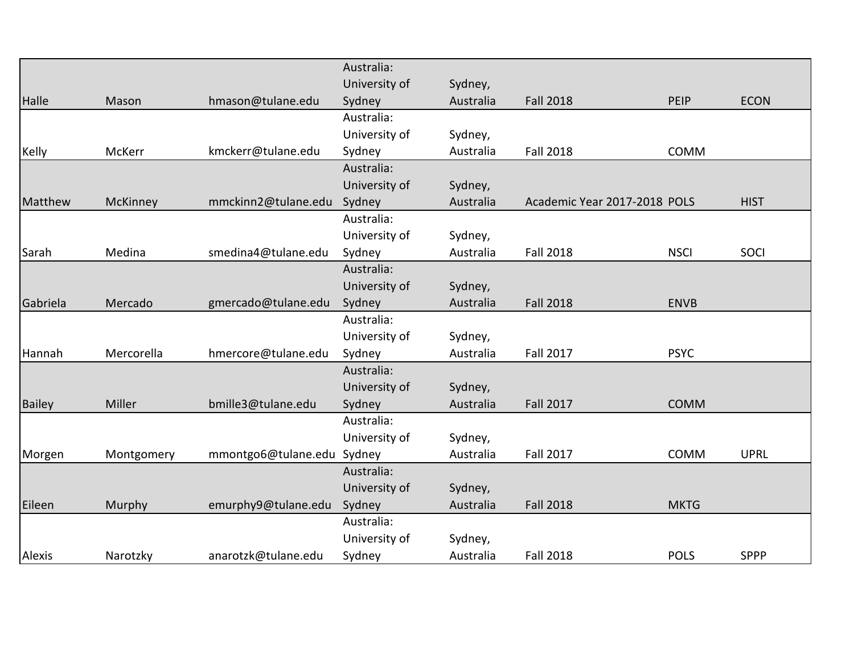|               |            |                     | Australia:    |           |                              |             |             |
|---------------|------------|---------------------|---------------|-----------|------------------------------|-------------|-------------|
|               |            |                     | University of | Sydney,   |                              |             |             |
| Halle         | Mason      | hmason@tulane.edu   | Sydney        | Australia | <b>Fall 2018</b>             | PEIP        | <b>ECON</b> |
|               |            |                     | Australia:    |           |                              |             |             |
|               |            |                     | University of | Sydney,   |                              |             |             |
| Kelly         | McKerr     | kmckerr@tulane.edu  | Sydney        | Australia | <b>Fall 2018</b>             | COMM        |             |
|               |            |                     | Australia:    |           |                              |             |             |
|               |            |                     | University of | Sydney,   |                              |             |             |
| Matthew       | McKinney   | mmckinn2@tulane.edu | Sydney        | Australia | Academic Year 2017-2018 POLS |             | <b>HIST</b> |
|               |            |                     | Australia:    |           |                              |             |             |
|               |            |                     | University of | Sydney,   |                              |             |             |
| Sarah         | Medina     | smedina4@tulane.edu | Sydney        | Australia | <b>Fall 2018</b>             | <b>NSCI</b> | SOCI        |
|               |            |                     | Australia:    |           |                              |             |             |
|               |            |                     | University of | Sydney,   |                              |             |             |
| Gabriela      | Mercado    | gmercado@tulane.edu | Sydney        | Australia | <b>Fall 2018</b>             | <b>ENVB</b> |             |
|               |            |                     | Australia:    |           |                              |             |             |
|               |            |                     | University of | Sydney,   |                              |             |             |
| Hannah        | Mercorella | hmercore@tulane.edu | Sydney        | Australia | <b>Fall 2017</b>             | <b>PSYC</b> |             |
|               |            |                     | Australia:    |           |                              |             |             |
|               |            |                     | University of | Sydney,   |                              |             |             |
| <b>Bailey</b> | Miller     | bmille3@tulane.edu  | Sydney        | Australia | <b>Fall 2017</b>             | <b>COMM</b> |             |
|               |            |                     | Australia:    |           |                              |             |             |
|               |            |                     | University of | Sydney,   |                              |             |             |
| Morgen        | Montgomery | mmontgo6@tulane.edu | Sydney        | Australia | <b>Fall 2017</b>             | COMM        | <b>UPRL</b> |
|               |            |                     | Australia:    |           |                              |             |             |
|               |            |                     | University of | Sydney,   |                              |             |             |
| Eileen        | Murphy     | emurphy9@tulane.edu | Sydney        | Australia | <b>Fall 2018</b>             | <b>MKTG</b> |             |
|               |            |                     | Australia:    |           |                              |             |             |
|               |            |                     | University of | Sydney,   |                              |             |             |
| Alexis        | Narotzky   | anarotzk@tulane.edu | Sydney        | Australia | <b>Fall 2018</b>             | <b>POLS</b> | <b>SPPP</b> |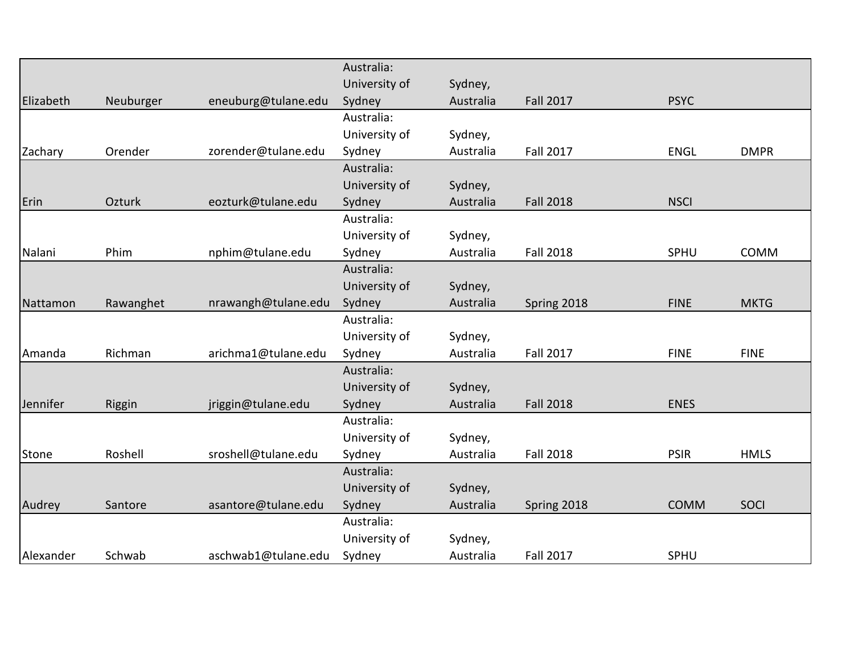|              |           |                     | Australia:    |           |                  |             |             |
|--------------|-----------|---------------------|---------------|-----------|------------------|-------------|-------------|
|              |           |                     | University of | Sydney,   |                  |             |             |
| Elizabeth    | Neuburger | eneuburg@tulane.edu | Sydney        | Australia | <b>Fall 2017</b> | <b>PSYC</b> |             |
|              |           |                     | Australia:    |           |                  |             |             |
|              |           |                     | University of | Sydney,   |                  |             |             |
| Zachary      | Orender   | zorender@tulane.edu | Sydney        | Australia | <b>Fall 2017</b> | <b>ENGL</b> | <b>DMPR</b> |
|              |           |                     | Australia:    |           |                  |             |             |
|              |           |                     | University of | Sydney,   |                  |             |             |
| Erin         | Ozturk    | eozturk@tulane.edu  | Sydney        | Australia | <b>Fall 2018</b> | <b>NSCI</b> |             |
|              |           |                     | Australia:    |           |                  |             |             |
|              |           |                     | University of | Sydney,   |                  |             |             |
| Nalani       | Phim      | nphim@tulane.edu    | Sydney        | Australia | <b>Fall 2018</b> | SPHU        | <b>COMM</b> |
|              |           |                     | Australia:    |           |                  |             |             |
|              |           |                     | University of | Sydney,   |                  |             |             |
| Nattamon     | Rawanghet | nrawangh@tulane.edu | Sydney        | Australia | Spring 2018      | <b>FINE</b> | <b>MKTG</b> |
|              |           |                     | Australia:    |           |                  |             |             |
|              |           |                     | University of | Sydney,   |                  |             |             |
| Amanda       | Richman   | arichma1@tulane.edu | Sydney        | Australia | <b>Fall 2017</b> | <b>FINE</b> | <b>FINE</b> |
|              |           |                     | Australia:    |           |                  |             |             |
|              |           |                     | University of | Sydney,   |                  |             |             |
| Jennifer     | Riggin    | jriggin@tulane.edu  | Sydney        | Australia | <b>Fall 2018</b> | <b>ENES</b> |             |
|              |           |                     | Australia:    |           |                  |             |             |
|              |           |                     | University of | Sydney,   |                  |             |             |
| <b>Stone</b> | Roshell   | sroshell@tulane.edu | Sydney        | Australia | <b>Fall 2018</b> | <b>PSIR</b> | <b>HMLS</b> |
|              |           |                     | Australia:    |           |                  |             |             |
|              |           |                     | University of | Sydney,   |                  |             |             |
| Audrey       | Santore   | asantore@tulane.edu | Sydney        | Australia | Spring 2018      | <b>COMM</b> | SOCI        |
|              |           |                     | Australia:    |           |                  |             |             |
|              |           |                     | University of | Sydney,   |                  |             |             |
| Alexander    | Schwab    | aschwab1@tulane.edu | Sydney        | Australia | <b>Fall 2017</b> | SPHU        |             |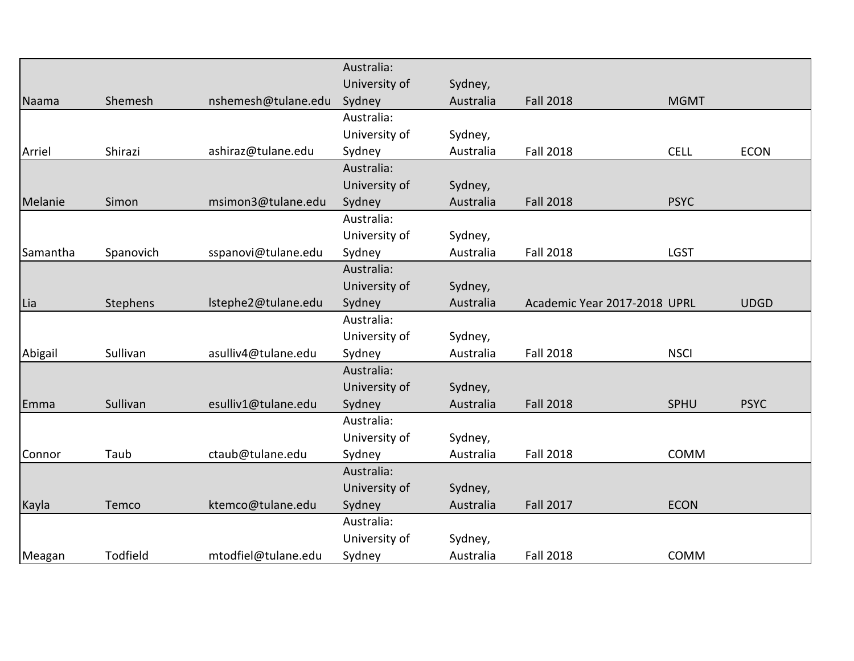|          |           |                     | Australia:    |           |                              |             |             |
|----------|-----------|---------------------|---------------|-----------|------------------------------|-------------|-------------|
|          |           |                     | University of | Sydney,   |                              |             |             |
| Naama    | Shemesh   | nshemesh@tulane.edu | Sydney        | Australia | <b>Fall 2018</b>             | <b>MGMT</b> |             |
|          |           |                     | Australia:    |           |                              |             |             |
|          |           |                     | University of | Sydney,   |                              |             |             |
| Arriel   | Shirazi   | ashiraz@tulane.edu  | Sydney        | Australia | <b>Fall 2018</b>             | <b>CELL</b> | <b>ECON</b> |
|          |           |                     | Australia:    |           |                              |             |             |
|          |           |                     | University of | Sydney,   |                              |             |             |
| Melanie  | Simon     | msimon3@tulane.edu  | Sydney        | Australia | <b>Fall 2018</b>             | <b>PSYC</b> |             |
|          |           |                     | Australia:    |           |                              |             |             |
|          |           |                     | University of | Sydney,   |                              |             |             |
| Samantha | Spanovich | sspanovi@tulane.edu | Sydney        | Australia | <b>Fall 2018</b>             | <b>LGST</b> |             |
|          |           |                     | Australia:    |           |                              |             |             |
|          |           |                     | University of | Sydney,   |                              |             |             |
| Lia      | Stephens  | Istephe2@tulane.edu | Sydney        | Australia | Academic Year 2017-2018 UPRL |             | <b>UDGD</b> |
|          |           |                     | Australia:    |           |                              |             |             |
|          |           |                     | University of | Sydney,   |                              |             |             |
| Abigail  | Sullivan  | asulliv4@tulane.edu | Sydney        | Australia | <b>Fall 2018</b>             | <b>NSCI</b> |             |
|          |           |                     | Australia:    |           |                              |             |             |
|          |           |                     | University of | Sydney,   |                              |             |             |
| Emma     | Sullivan  | esulliv1@tulane.edu | Sydney        | Australia | <b>Fall 2018</b>             | SPHU        | <b>PSYC</b> |
|          |           |                     | Australia:    |           |                              |             |             |
|          |           |                     | University of | Sydney,   |                              |             |             |
| Connor   | Taub      | ctaub@tulane.edu    | Sydney        | Australia | <b>Fall 2018</b>             | COMM        |             |
|          |           |                     | Australia:    |           |                              |             |             |
|          |           |                     | University of | Sydney,   |                              |             |             |
| Kayla    | Temco     | ktemco@tulane.edu   | Sydney        | Australia | <b>Fall 2017</b>             | <b>ECON</b> |             |
|          |           |                     | Australia:    |           |                              |             |             |
|          |           |                     | University of | Sydney,   |                              |             |             |
| Meagan   | Todfield  | mtodfiel@tulane.edu | Sydney        | Australia | <b>Fall 2018</b>             | COMM        |             |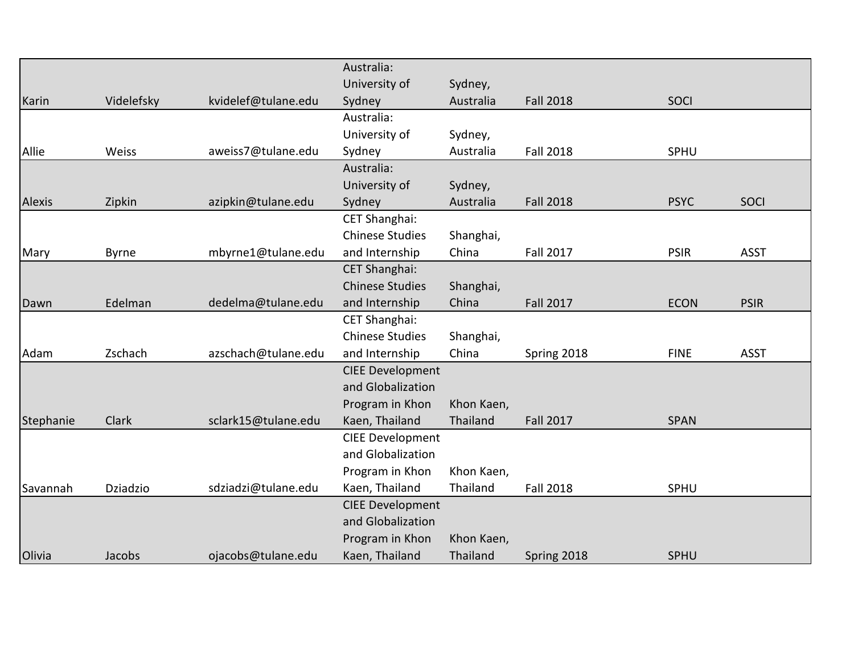|           |              |                     | Australia:              |            |                  |             |             |
|-----------|--------------|---------------------|-------------------------|------------|------------------|-------------|-------------|
|           |              |                     | University of           | Sydney,    |                  |             |             |
| Karin     | Videlefsky   | kvidelef@tulane.edu | Sydney                  | Australia  | <b>Fall 2018</b> | SOCI        |             |
|           |              |                     | Australia:              |            |                  |             |             |
|           |              |                     | University of           | Sydney,    |                  |             |             |
| Allie     | Weiss        | aweiss7@tulane.edu  | Sydney                  | Australia  | <b>Fall 2018</b> | SPHU        |             |
|           |              |                     | Australia:              |            |                  |             |             |
|           |              |                     | University of           | Sydney,    |                  |             |             |
| Alexis    | Zipkin       | azipkin@tulane.edu  | Sydney                  | Australia  | <b>Fall 2018</b> | <b>PSYC</b> | SOCI        |
|           |              |                     | <b>CET Shanghai:</b>    |            |                  |             |             |
|           |              |                     | <b>Chinese Studies</b>  | Shanghai,  |                  |             |             |
| Mary      | <b>Byrne</b> | mbyrne1@tulane.edu  | and Internship          | China      | <b>Fall 2017</b> | <b>PSIR</b> | <b>ASST</b> |
|           |              |                     | <b>CET Shanghai:</b>    |            |                  |             |             |
|           |              |                     | <b>Chinese Studies</b>  | Shanghai,  |                  |             |             |
| Dawn      | Edelman      | dedelma@tulane.edu  | and Internship          | China      | <b>Fall 2017</b> | <b>ECON</b> | <b>PSIR</b> |
|           |              |                     | CET Shanghai:           |            |                  |             |             |
|           |              |                     | <b>Chinese Studies</b>  | Shanghai,  |                  |             |             |
| Adam      | Zschach      | azschach@tulane.edu | and Internship          | China      | Spring 2018      | <b>FINE</b> | <b>ASST</b> |
|           |              |                     | <b>CIEE Development</b> |            |                  |             |             |
|           |              |                     | and Globalization       |            |                  |             |             |
|           |              |                     | Program in Khon         | Khon Kaen, |                  |             |             |
| Stephanie | Clark        | sclark15@tulane.edu | Kaen, Thailand          | Thailand   | <b>Fall 2017</b> | <b>SPAN</b> |             |
|           |              |                     | <b>CIEE Development</b> |            |                  |             |             |
|           |              |                     | and Globalization       |            |                  |             |             |
|           |              |                     | Program in Khon         | Khon Kaen, |                  |             |             |
| Savannah  | Dziadzio     | sdziadzi@tulane.edu | Kaen, Thailand          | Thailand   | <b>Fall 2018</b> | SPHU        |             |
|           |              |                     | <b>CIEE Development</b> |            |                  |             |             |
|           |              |                     | and Globalization       |            |                  |             |             |
|           |              |                     | Program in Khon         | Khon Kaen, |                  |             |             |
| Olivia    | Jacobs       | ojacobs@tulane.edu  | Kaen, Thailand          | Thailand   | Spring 2018      | SPHU        |             |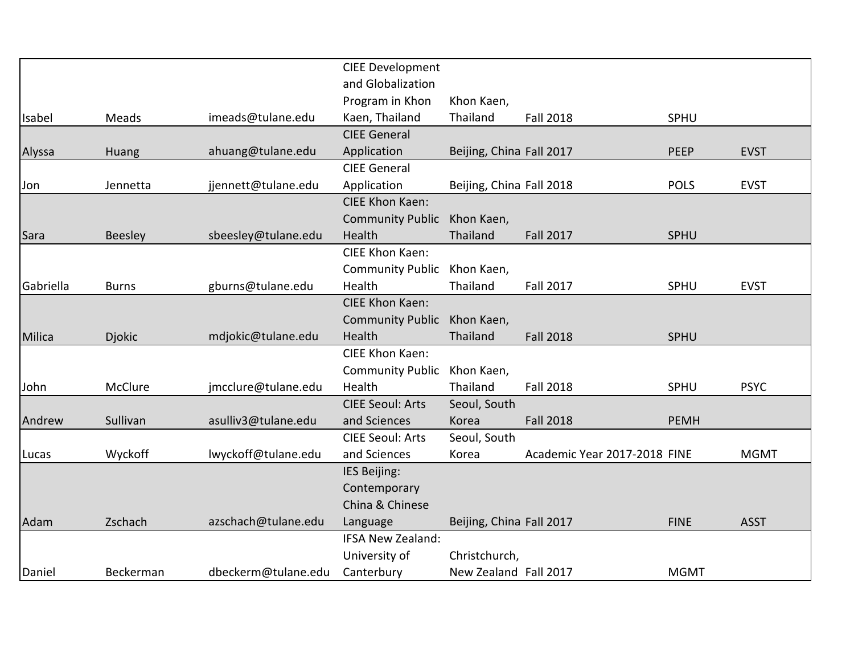|           |                |                     | <b>CIEE Development</b> |                          |                              |             |             |
|-----------|----------------|---------------------|-------------------------|--------------------------|------------------------------|-------------|-------------|
|           |                |                     | and Globalization       |                          |                              |             |             |
|           |                |                     | Program in Khon         | Khon Kaen,               |                              |             |             |
| Isabel    | Meads          | imeads@tulane.edu   | Kaen, Thailand          | Thailand                 | <b>Fall 2018</b>             | SPHU        |             |
|           |                |                     | <b>CIEE General</b>     |                          |                              |             |             |
| Alyssa    | Huang          | ahuang@tulane.edu   | Application             | Beijing, China Fall 2017 |                              | <b>PEEP</b> | <b>EVST</b> |
|           |                |                     | <b>CIEE General</b>     |                          |                              |             |             |
| Jon       | Jennetta       | jjennett@tulane.edu | Application             | Beijing, China Fall 2018 |                              | <b>POLS</b> | <b>EVST</b> |
|           |                |                     | <b>CIEE Khon Kaen:</b>  |                          |                              |             |             |
|           |                |                     | <b>Community Public</b> | Khon Kaen,               |                              |             |             |
| Sara      | <b>Beesley</b> | sbeesley@tulane.edu | Health                  | Thailand                 | <b>Fall 2017</b>             | SPHU        |             |
|           |                |                     | CIEE Khon Kaen:         |                          |                              |             |             |
|           |                |                     | <b>Community Public</b> | Khon Kaen,               |                              |             |             |
| Gabriella | <b>Burns</b>   | gburns@tulane.edu   | Health                  | Thailand                 | <b>Fall 2017</b>             | SPHU        | <b>EVST</b> |
|           |                |                     | <b>CIEE Khon Kaen:</b>  |                          |                              |             |             |
|           |                |                     | <b>Community Public</b> | Khon Kaen,               |                              |             |             |
| Milica    | <b>Djokic</b>  | mdjokic@tulane.edu  | Health                  | Thailand                 | <b>Fall 2018</b>             | SPHU        |             |
|           |                |                     | CIEE Khon Kaen:         |                          |                              |             |             |
|           |                |                     | <b>Community Public</b> | Khon Kaen,               |                              |             |             |
| John      | McClure        | jmcclure@tulane.edu | Health                  | Thailand                 | <b>Fall 2018</b>             | SPHU        | <b>PSYC</b> |
|           |                |                     | <b>CIEE Seoul: Arts</b> | Seoul, South             |                              |             |             |
| Andrew    | Sullivan       | asulliv3@tulane.edu | and Sciences            | Korea                    | <b>Fall 2018</b>             | <b>PEMH</b> |             |
|           |                |                     | <b>CIEE Seoul: Arts</b> | Seoul, South             |                              |             |             |
| Lucas     | Wyckoff        | lwyckoff@tulane.edu | and Sciences            | Korea                    | Academic Year 2017-2018 FINE |             | <b>MGMT</b> |
|           |                |                     | IES Beijing:            |                          |                              |             |             |
|           |                |                     | Contemporary            |                          |                              |             |             |
|           |                |                     | China & Chinese         |                          |                              |             |             |
| Adam      | Zschach        | azschach@tulane.edu | Language                | Beijing, China Fall 2017 |                              | <b>FINE</b> | <b>ASST</b> |
|           |                |                     | IFSA New Zealand:       |                          |                              |             |             |
|           |                |                     | University of           | Christchurch,            |                              |             |             |
| Daniel    | Beckerman      | dbeckerm@tulane.edu | Canterbury              | New Zealand Fall 2017    |                              | <b>MGMT</b> |             |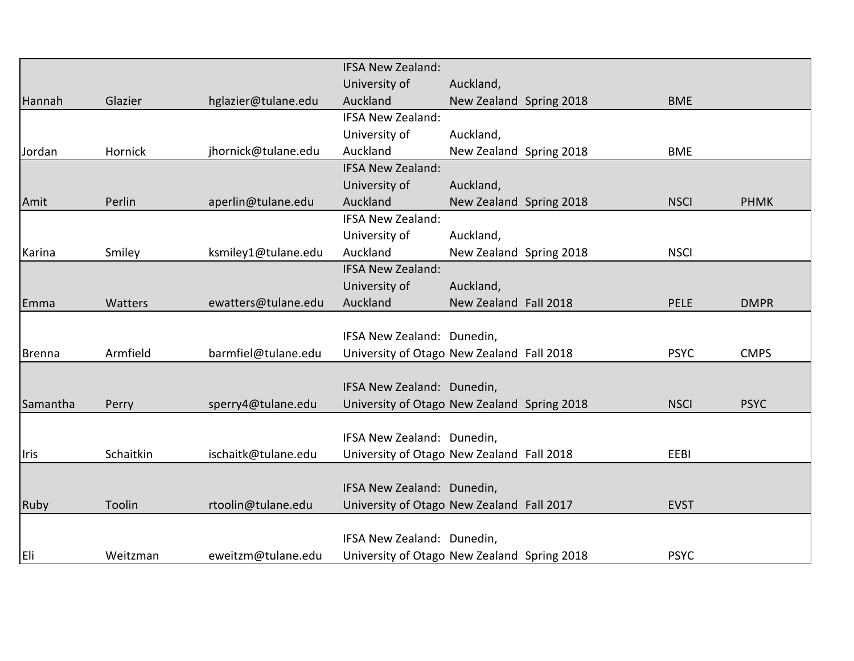|               |           |                     | <b>IFSA New Zealand:</b>                    |                         |             |             |
|---------------|-----------|---------------------|---------------------------------------------|-------------------------|-------------|-------------|
|               |           |                     | University of                               | Auckland,               |             |             |
| Hannah        | Glazier   | hglazier@tulane.edu | Auckland                                    | New Zealand Spring 2018 | <b>BME</b>  |             |
|               |           |                     | <b>IFSA New Zealand:</b>                    |                         |             |             |
|               |           |                     | University of                               | Auckland,               |             |             |
| Jordan        | Hornick   | jhornick@tulane.edu | Auckland                                    | New Zealand Spring 2018 | <b>BME</b>  |             |
|               |           |                     | <b>IFSA New Zealand:</b>                    |                         |             |             |
|               |           |                     | University of                               | Auckland,               |             |             |
| Amit          | Perlin    | aperlin@tulane.edu  | Auckland                                    | New Zealand Spring 2018 | <b>NSCI</b> | <b>PHMK</b> |
|               |           |                     | <b>IFSA New Zealand:</b>                    |                         |             |             |
|               |           |                     | University of                               | Auckland,               |             |             |
| Karina        | Smiley    | ksmiley1@tulane.edu | Auckland                                    | New Zealand Spring 2018 | <b>NSCI</b> |             |
|               |           |                     | <b>IFSA New Zealand:</b>                    |                         |             |             |
|               |           |                     | University of                               | Auckland,               |             |             |
| Emma          | Watters   | ewatters@tulane.edu | Auckland                                    | New Zealand Fall 2018   | <b>PELE</b> | <b>DMPR</b> |
|               |           |                     |                                             |                         |             |             |
|               |           |                     | IFSA New Zealand: Dunedin,                  |                         |             |             |
| <b>Brenna</b> | Armfield  | barmfiel@tulane.edu | University of Otago New Zealand Fall 2018   |                         | <b>PSYC</b> | <b>CMPS</b> |
|               |           |                     |                                             |                         |             |             |
|               |           |                     | IFSA New Zealand: Dunedin,                  |                         |             |             |
| Samantha      | Perry     | sperry4@tulane.edu  | University of Otago New Zealand Spring 2018 |                         | <b>NSCI</b> | <b>PSYC</b> |
|               |           |                     |                                             |                         |             |             |
|               |           |                     | IFSA New Zealand: Dunedin,                  |                         |             |             |
| <b>I</b> ris  | Schaitkin | ischaitk@tulane.edu | University of Otago New Zealand Fall 2018   |                         | EEBI        |             |
|               |           |                     |                                             |                         |             |             |
|               |           |                     | IFSA New Zealand: Dunedin,                  |                         |             |             |
| Ruby          | Toolin    | rtoolin@tulane.edu  | University of Otago New Zealand Fall 2017   |                         | <b>EVST</b> |             |
|               |           |                     |                                             |                         |             |             |
|               |           |                     | IFSA New Zealand: Dunedin,                  |                         |             |             |
| <b>Eli</b>    | Weitzman  | eweitzm@tulane.edu  | University of Otago New Zealand Spring 2018 |                         | <b>PSYC</b> |             |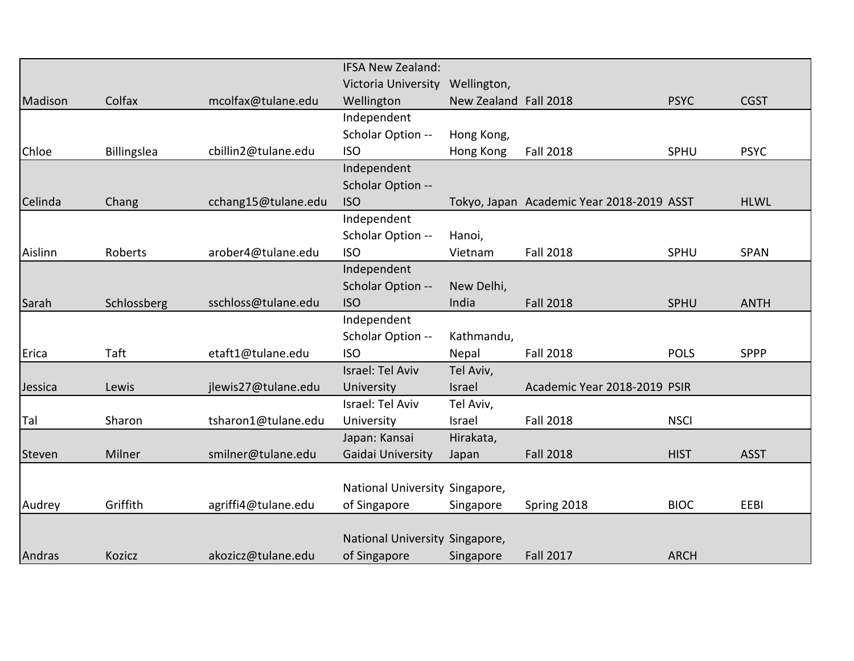|         |             |                     | <b>IFSA New Zealand:</b>       |                       |                                           |             |             |
|---------|-------------|---------------------|--------------------------------|-----------------------|-------------------------------------------|-------------|-------------|
|         |             |                     | Victoria University            | Wellington,           |                                           |             |             |
| Madison | Colfax      | mcolfax@tulane.edu  | Wellington                     | New Zealand Fall 2018 |                                           | <b>PSYC</b> | <b>CGST</b> |
|         |             |                     | Independent                    |                       |                                           |             |             |
|         |             |                     | Scholar Option --              | Hong Kong,            |                                           |             |             |
| Chloe   | Billingslea | cbillin2@tulane.edu | <b>ISO</b>                     | Hong Kong             | <b>Fall 2018</b>                          | SPHU        | <b>PSYC</b> |
|         |             |                     | Independent                    |                       |                                           |             |             |
|         |             |                     | Scholar Option --              |                       |                                           |             |             |
| Celinda | Chang       | cchang15@tulane.edu | <b>ISO</b>                     |                       | Tokyo, Japan Academic Year 2018-2019 ASST |             | <b>HLWL</b> |
|         |             |                     | Independent                    |                       |                                           |             |             |
|         |             |                     | Scholar Option --              | Hanoi,                |                                           |             |             |
| Aislinn | Roberts     | arober4@tulane.edu  | <b>ISO</b>                     | Vietnam               | <b>Fall 2018</b>                          | SPHU        | <b>SPAN</b> |
|         |             |                     | Independent                    |                       |                                           |             |             |
|         |             |                     | Scholar Option --              | New Delhi,            |                                           |             |             |
| Sarah   | Schlossberg | sschloss@tulane.edu | <b>ISO</b>                     | India                 | <b>Fall 2018</b>                          | SPHU        | <b>ANTH</b> |
|         |             |                     | Independent                    |                       |                                           |             |             |
|         |             |                     | Scholar Option --              | Kathmandu,            |                                           |             |             |
| Erica   | Taft        | etaft1@tulane.edu   | <b>ISO</b>                     | Nepal                 | <b>Fall 2018</b>                          | <b>POLS</b> | <b>SPPP</b> |
|         |             |                     | Israel: Tel Aviv               | Tel Aviv,             |                                           |             |             |
| Jessica | Lewis       | jlewis27@tulane.edu | University                     | Israel                | Academic Year 2018-2019 PSIR              |             |             |
|         |             |                     | Israel: Tel Aviv               | Tel Aviv,             |                                           |             |             |
| Tal     | Sharon      | tsharon1@tulane.edu | University                     | Israel                | <b>Fall 2018</b>                          | <b>NSCI</b> |             |
|         |             |                     | Japan: Kansai                  | Hirakata,             |                                           |             |             |
| Steven  | Milner      | smilner@tulane.edu  | Gaidai University              | Japan                 | <b>Fall 2018</b>                          | <b>HIST</b> | <b>ASST</b> |
|         |             |                     |                                |                       |                                           |             |             |
|         |             |                     | National University Singapore, |                       |                                           |             |             |
| Audrey  | Griffith    | agriffi4@tulane.edu | of Singapore                   | Singapore             | Spring 2018                               | <b>BIOC</b> | EEBI        |
|         |             |                     |                                |                       |                                           |             |             |
|         |             |                     | National University Singapore, |                       |                                           |             |             |
| Andras  | Kozicz      | akozicz@tulane.edu  | of Singapore                   | Singapore             | <b>Fall 2017</b>                          | <b>ARCH</b> |             |